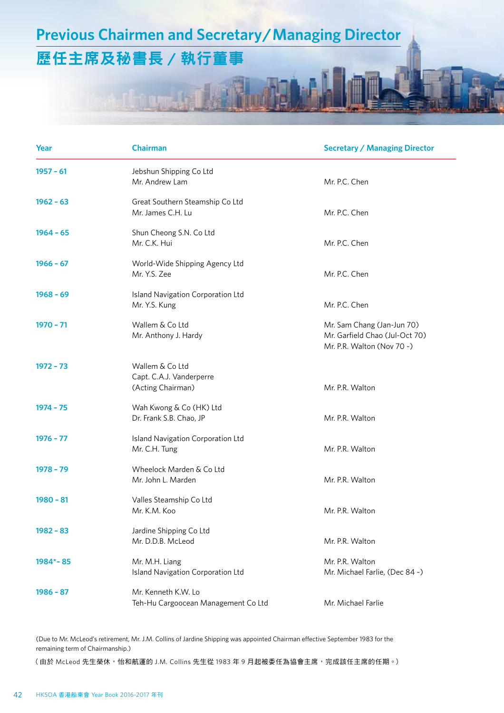## **Previous Chairmen and Secretary/Managing Director**

## 歷任主席及秘書長 **/** 執行董事

| Year        | <b>Chairman</b>                                                  | <b>Secretary / Managing Director</b>                                                       |
|-------------|------------------------------------------------------------------|--------------------------------------------------------------------------------------------|
| $1957 - 61$ | Jebshun Shipping Co Ltd<br>Mr. Andrew Lam                        | Mr. P.C. Chen                                                                              |
| $1962 - 63$ | Great Southern Steamship Co Ltd<br>Mr. James C.H. Lu             | Mr. P.C. Chen                                                                              |
| $1964 - 65$ | Shun Cheong S.N. Co Ltd<br>Mr. C.K. Hui                          | Mr. P.C. Chen                                                                              |
| $1966 - 67$ | World-Wide Shipping Agency Ltd<br>Mr. Y.S. Zee                   | Mr. P.C. Chen                                                                              |
| $1968 - 69$ | Island Navigation Corporation Ltd<br>Mr. Y.S. Kung               | Mr. P.C. Chen                                                                              |
| $1970 - 71$ | Wallem & Co Ltd<br>Mr. Anthony J. Hardy                          | Mr. Sam Chang (Jan-Jun 70)<br>Mr. Garfield Chao (Jul-Oct 70)<br>Mr. P.R. Walton (Nov 70 ~) |
| $1972 - 73$ | Wallem & Co Ltd<br>Capt. C.A.J. Vanderperre<br>(Acting Chairman) | Mr. P.R. Walton                                                                            |
| $1974 - 75$ | Wah Kwong & Co (HK) Ltd<br>Dr. Frank S.B. Chao, JP               | Mr. P.R. Walton                                                                            |
| $1976 - 77$ | Island Navigation Corporation Ltd<br>Mr. C.H. Tung               | Mr. P.R. Walton                                                                            |
| $1978 - 79$ | Wheelock Marden & Co Ltd<br>Mr. John L. Marden                   | Mr. P.R. Walton                                                                            |
| 1980 - 81   | Valles Steamship Co Ltd<br>Mr. K.M. Koo                          | Mr. P.R. Walton                                                                            |
| $1982 - 83$ | Jardine Shipping Co Ltd<br>Mr. D.D.B. McLeod                     | Mr. P.R. Walton                                                                            |
| 1984*-85    | Mr. M.H. Liang<br>Island Navigation Corporation Ltd              | Mr. P.R. Walton<br>Mr. Michael Farlie, (Dec 84 ~)                                          |
| $1986 - 87$ | Mr. Kenneth K.W. Lo<br>Teh-Hu Cargoocean Management Co Ltd       | Mr. Michael Farlie                                                                         |

(Due to Mr. McLeod's retirement, Mr. J.M. Collins of Jardine Shipping was appointed Chairman effective September 1983 for the remaining term of Chairmanship.)

(由於 McLeod 先生榮休,怡和航運的 J.M. Collins 先生從 1983 年 9 月起被委任為協會主席,完成該任主席的任期。)